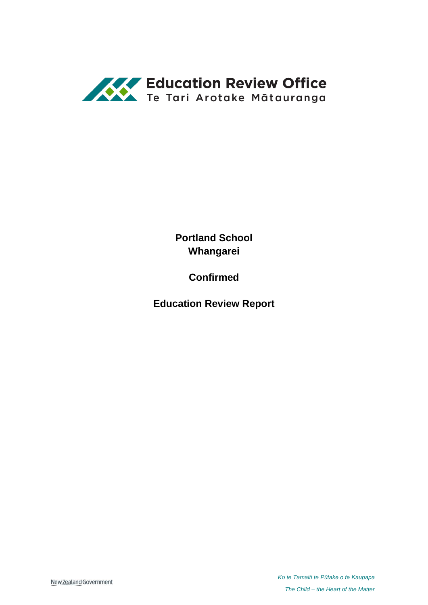

**Portland School Whangarei**

**Confirmed**

**Education Review Report**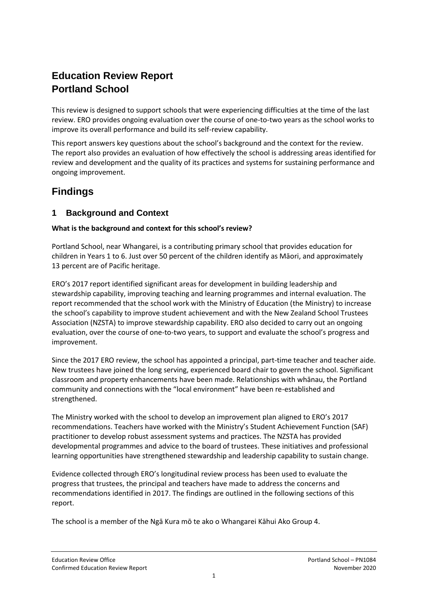# **Education Review Report Portland School**

This review is designed to support schools that were experiencing difficulties at the time of the last review. ERO provides ongoing evaluation over the course of one-to-two years as the school works to improve its overall performance and build its self-review capability.

This report answers key questions about the school's background and the context for the review. The report also provides an evaluation of how effectively the school is addressing areas identified for review and development and the quality of its practices and systems for sustaining performance and ongoing improvement.

## **Findings**

### **1 Background and Context**

#### **What is the background and context for this school's review?**

Portland School, near Whangarei, is a contributing primary school that provides education for children in Years 1 to 6. Just over 50 percent of the children identify as Māori, and approximately 13 percent are of Pacific heritage.

ERO's 2017 report identified significant areas for development in building leadership and stewardship capability, improving teaching and learning programmes and internal evaluation. The report recommended that the school work with the Ministry of Education (the Ministry) to increase the school's capability to improve student achievement and with the New Zealand School Trustees Association (NZSTA) to improve stewardship capability. ERO also decided to carry out an ongoing evaluation, over the course of one-to-two years, to support and evaluate the school's progress and improvement.

Since the 2017 ERO review, the school has appointed a principal, part-time teacher and teacher aide. New trustees have joined the long serving, experienced board chair to govern the school. Significant classroom and property enhancements have been made. Relationships with whānau, the Portland community and connections with the "local environment" have been re-established and strengthened.

The Ministry worked with the school to develop an improvement plan aligned to ERO's 2017 recommendations. Teachers have worked with the Ministry's Student Achievement Function (SAF) practitioner to develop robust assessment systems and practices. The NZSTA has provided developmental programmes and advice to the board of trustees. These initiatives and professional learning opportunities have strengthened stewardship and leadership capability to sustain change.

Evidence collected through ERO's longitudinal review process has been used to evaluate the progress that trustees, the principal and teachers have made to address the concerns and recommendations identified in 2017. The findings are outlined in the following sections of this report.

The school is a member of the Ngā Kura mō te ako o Whangarei Kāhui Ako Group 4.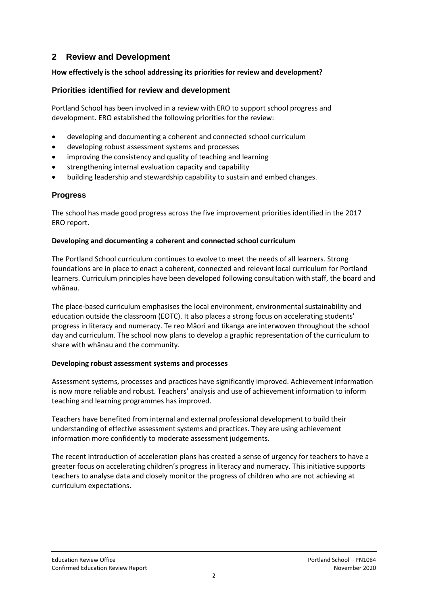## **2 Review and Development**

#### **How effectively is the school addressing its priorities for review and development?**

#### **Priorities identified for review and development**

Portland School has been involved in a review with ERO to support school progress and development. ERO established the following priorities for the review:

- developing and documenting a coherent and connected school curriculum
- developing robust assessment systems and processes
- improving the consistency and quality of teaching and learning
- strengthening internal evaluation capacity and capability
- building leadership and stewardship capability to sustain and embed changes.

#### **Progress**

The school has made good progress across the five improvement priorities identified in the 2017 ERO report.

#### **Developing and documenting a coherent and connected school curriculum**

The Portland School curriculum continues to evolve to meet the needs of all learners. Strong foundations are in place to enact a coherent, connected and relevant local curriculum for Portland learners. Curriculum principles have been developed following consultation with staff, the board and whānau.

The place-based curriculum emphasises the local environment, environmental sustainability and education outside the classroom (EOTC). It also places a strong focus on accelerating students' progress in literacy and numeracy. Te reo Māori and tikanga are interwoven throughout the school day and curriculum. The school now plans to develop a graphic representation of the curriculum to share with whānau and the community.

#### **Developing robust assessment systems and processes**

Assessment systems, processes and practices have significantly improved. Achievement information is now more reliable and robust. Teachers' analysis and use of achievement information to inform teaching and learning programmes has improved.

Teachers have benefited from internal and external professional development to build their understanding of effective assessment systems and practices. They are using achievement information more confidently to moderate assessment judgements.

The recent introduction of acceleration plans has created a sense of urgency for teachers to have a greater focus on accelerating children's progress in literacy and numeracy. This initiative supports teachers to analyse data and closely monitor the progress of children who are not achieving at curriculum expectations.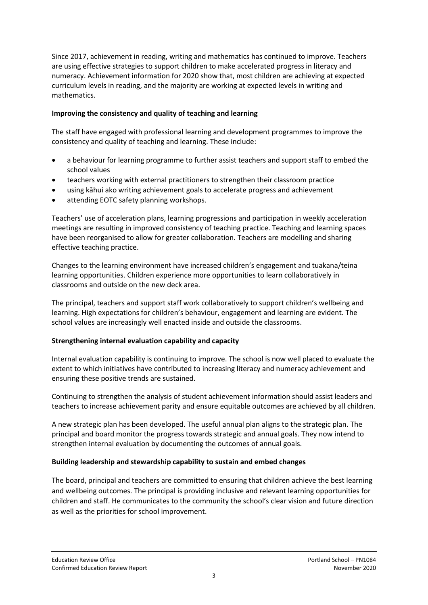Since 2017, achievement in reading, writing and mathematics has continued to improve. Teachers are using effective strategies to support children to make accelerated progress in literacy and numeracy. Achievement information for 2020 show that, most children are achieving at expected curriculum levels in reading, and the majority are working at expected levels in writing and mathematics.

#### **Improving the consistency and quality of teaching and learning**

The staff have engaged with professional learning and development programmes to improve the consistency and quality of teaching and learning. These include:

- a behaviour for learning programme to further assist teachers and support staff to embed the school values
- teachers working with external practitioners to strengthen their classroom practice
- using kāhui ako writing achievement goals to accelerate progress and achievement
- attending EOTC safety planning workshops.

Teachers' use of acceleration plans, learning progressions and participation in weekly acceleration meetings are resulting in improved consistency of teaching practice. Teaching and learning spaces have been reorganised to allow for greater collaboration. Teachers are modelling and sharing effective teaching practice.

Changes to the learning environment have increased children's engagement and tuakana/teina learning opportunities. Children experience more opportunities to learn collaboratively in classrooms and outside on the new deck area.

The principal, teachers and support staff work collaboratively to support children's wellbeing and learning. High expectations for children's behaviour, engagement and learning are evident. The school values are increasingly well enacted inside and outside the classrooms.

#### **Strengthening internal evaluation capability and capacity**

Internal evaluation capability is continuing to improve. The school is now well placed to evaluate the extent to which initiatives have contributed to increasing literacy and numeracy achievement and ensuring these positive trends are sustained.

Continuing to strengthen the analysis of student achievement information should assist leaders and teachers to increase achievement parity and ensure equitable outcomes are achieved by all children.

A new strategic plan has been developed. The useful annual plan aligns to the strategic plan. The principal and board monitor the progress towards strategic and annual goals. They now intend to strengthen internal evaluation by documenting the outcomes of annual goals.

#### **Building leadership and stewardship capability to sustain and embed changes**

The board, principal and teachers are committed to ensuring that children achieve the best learning and wellbeing outcomes. The principal is providing inclusive and relevant learning opportunities for children and staff. He communicates to the community the school's clear vision and future direction as well as the priorities for school improvement.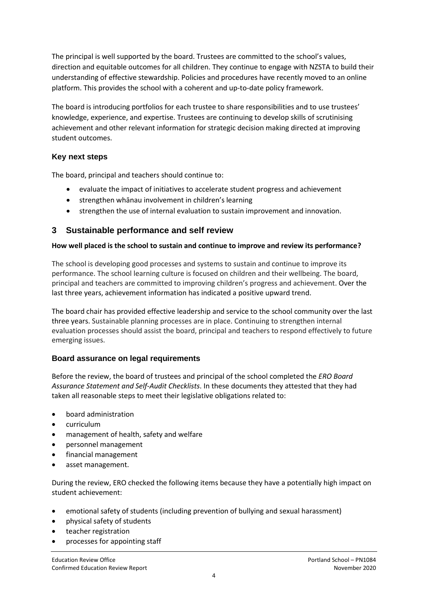The principal is well supported by the board. Trustees are committed to the school's values, direction and equitable outcomes for all children. They continue to engage with NZSTA to build their understanding of effective stewardship. Policies and procedures have recently moved to an online platform. This provides the school with a coherent and up-to-date policy framework.

The board is introducing portfolios for each trustee to share responsibilities and to use trustees' knowledge, experience, and expertise. Trustees are continuing to develop skills of scrutinising achievement and other relevant information for strategic decision making directed at improving student outcomes.

#### **Key next steps**

The board, principal and teachers should continue to:

- evaluate the impact of initiatives to accelerate student progress and achievement
- strengthen whānau involvement in children's learning
- strengthen the use of internal evaluation to sustain improvement and innovation.

### **3 Sustainable performance and self review**

#### **How well placed is the school to sustain and continue to improve and review its performance?**

The school is developing good processes and systems to sustain and continue to improve its performance. The school learning culture is focused on children and their wellbeing. The board, principal and teachers are committed to improving children's progress and achievement. Over the last three years, achievement information has indicated a positive upward trend.

The board chair has provided effective leadership and service to the school community over the last three years. Sustainable planning processes are in place. Continuing to strengthen internal evaluation processes should assist the board, principal and teachers to respond effectively to future emerging issues.

#### **Board assurance on legal requirements**

Before the review, the board of trustees and principal of the school completed the *ERO Board Assurance Statement and Self-Audit Checklists*. In these documents they attested that they had taken all reasonable steps to meet their legislative obligations related to:

- board administration
- curriculum
- management of health, safety and welfare
- personnel management
- financial management
- asset management.

During the review, ERO checked the following items because they have a potentially high impact on student achievement:

- emotional safety of students (including prevention of bullying and sexual harassment)
- physical safety of students
- teacher registration
- processes for appointing staff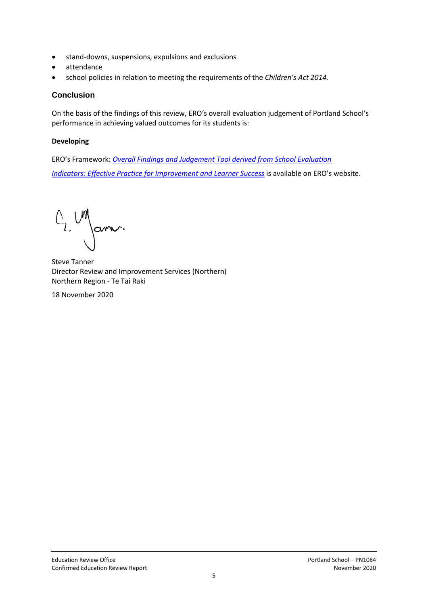- stand-downs, suspensions, expulsions and exclusions
- attendance
- school policies in relation to meeting the requirements of the *Children's Act 2014.*

#### **Conclusion**

On the basis of the findings of this review, ERO's overall evaluation judgement of Portland School's performance in achieving valued outcomes for its students is:

#### **Developing**

ERO's Framework: *[Overall Findings and Judgement Tool derived from School Evaluation](https://www.ero.govt.nz/assets/Uploads/ERO-18798-1-AF-Overall-findings-and-judgements-document-v4.pdf) [Indicators: Effective Practice for Improvement and Learner Success](https://www.ero.govt.nz/assets/Uploads/ERO-18798-1-AF-Overall-findings-and-judgements-document-v4.pdf)* is available on ERO's website.

 $O_{2}$  UN Janv.

Steve Tanner Director Review and Improvement Services (Northern) Northern Region - Te Tai Raki

18 November 2020